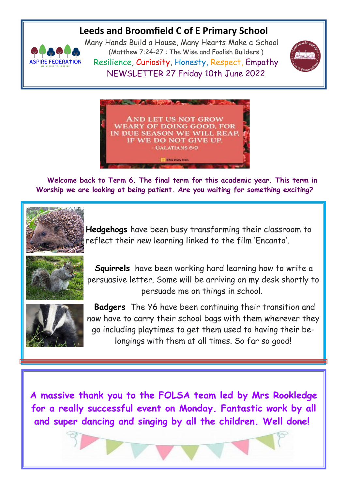## **Leeds and Broomfield C of E Primary School**



Many Hands Build a House, Many Hearts Make a School (Matthew 7:24-27 : The Wise and Foolish Builders ) Resilience, Curiosity, Honesty, Respect, Empathy NEWSLETTER 27 Friday 10th June 2022





 **Welcome back to Term 6. The final term for this academic year. This term in Worship we are looking at being patient. Are you waiting for something exciting?**



**Hedgehogs** have been busy transforming their classroom to reflect their new learning linked to the film 'Encanto'.



**Squirrels** have been working hard learning how to write a persuasive letter. Some will be arriving on my desk shortly to persuade me on things in school.



**Badgers** The Y6 have been continuing their transition and now have to carry their school bags with them wherever they go including playtimes to get them used to having their belongings with them at all times. So far so good!

**A massive thank you to the FOLSA team led by Mrs Rookledge for a really successful event on Monday. Fantastic work by all and super dancing and singing by all the children. Well done!**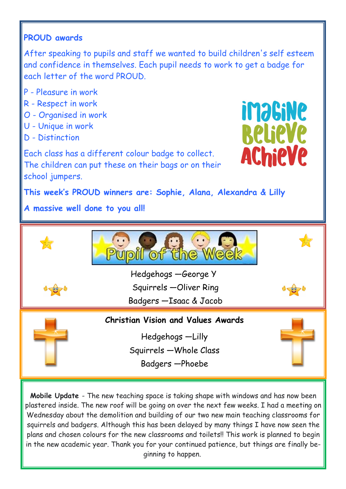## **PROUD awards**

After speaking to pupils and staff we wanted to build children's self esteem and confidence in themselves. Each pupil needs to work to get a badge for each letter of the word PROUD.

- P Pleasure in work
- R Respect in work
- O Organised in work
- U Unique in work
- D Distinction

Each class has a different colour badge to collect. The children can put these on their bags or on their school jumpers.



**This week's PROUD winners are: Sophie, Alana, Alexandra & Lilly** 

**A massive well done to you all!**



**Mobile Update** - The new teaching space is taking shape with windows and has now been plastered inside. The new roof will be going on over the next few weeks. I had a meeting on Wednesday about the demolition and building of our two new main teaching classrooms for squirrels and badgers. Although this has been delayed by many things I have now seen the plans and chosen colours for the new classrooms and toilets!! This work is planned to begin in the new academic year. Thank you for your continued patience, but things are finally beginning to happen.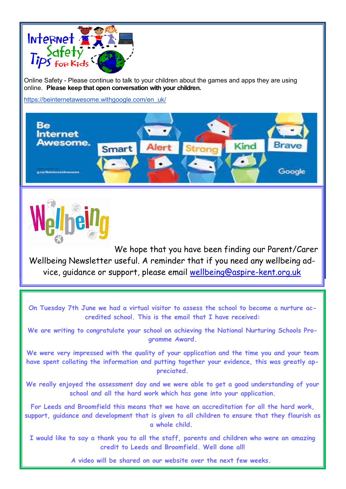

Online Safety - Please continue to talk to your children about the games and apps they are using online. **Please keep that open conversation with your children.**

[https://beinternetawesome.withgoogle.com/en\\_uk/](https://beinternetawesome.withgoogle.com/en_uk/)





We hope that you have been finding our Parent/Carer Wellbeing Newsletter useful. A reminder that if you need any wellbeing advice, guidance or support, please email [wellbeing@aspire-kent.org.uk](mailto:wellbeing@aspire-kent.org.uk)

**On Tuesday 7th June we had a virtual visitor to assess the school to become a nurture accredited school. This is the email that I have received:**

**We are writing to congratulate your school on achieving the National Nurturing Schools Programme Award.**

**We were very impressed with the quality of your application and the time you and your team have spent collating the information and putting together your evidence, this was greatly appreciated.**

**We really enjoyed the assessment day and we were able to get a good understanding of your school and all the hard work which has gone into your application.**

**For Leeds and Broomfield this means that we have an accreditation for all the hard work, support, guidance and development that is given to all children to ensure that they flourish as a whole child.**

**I would like to say a thank you to all the staff, parents and children who were an amazing credit to Leeds and Broomfield. Well done all!**

 **A video will be shared on our website over the next few weeks.**